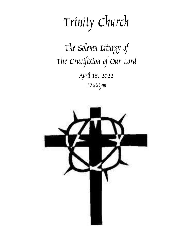# Trinity Church

The Solemn Liturgy of The Crucifixion of Our Lord April 15, 2022 12:00pm

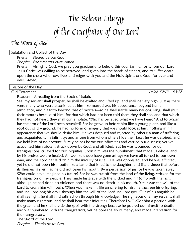## The Solemn Liturgy of the Crucifixion of Our Lord

The Word of God

Salutation and Collect of the Day

Priest: Blessed be our God.

People: For ever and ever. Amen.

Priest: Almighty God, we pray you graciously to behold this your family, for whom our Lord Jesus Christ was willing to be betrayed, and given into the hands of sinners, and to suffer death upon the cross; who now lives and reigns with you and the Holy Spirit, one God, for ever and ever. Amen.

#### Lessons of the Day

Old Testament Isaiah 52:13 – 53:12

Reader: A reading from the Book of Isaiah.

See, my servant shall prosper; he shall be exalted and lifted up, and shall be very high. Just as there were many who were astonished at him—so marred was his appearance, beyond human semblance, and his form beyond that of mortals—so he shall startle many nations; kings shall shut their mouths because of him; for that which had not been told them they shall see, and that which they had not heard they shall contemplate. Who has believed what we have heard? And to whom has the arm of the Lord been revealed? For he grew up before him like a young plant, and like a root out of dry ground; he had no form or majesty that we should look at him, nothing in his appearance that we should desire him. He was despised and rejected by others; a man of suffering and acquainted with infirmity; and as one from whom others hide their faces he was despised, and we held him of no account. Surely he has borne our infirmities and carried our diseases; yet we accounted him stricken, struck down by God, and afflicted. But he was wounded for our transgressions, crushed for our iniquities; upon him was the punishment that made us whole, and by his bruises we are healed. All we like sheep have gone astray; we have all turned to our own way, and the Lord has laid on him the iniquity of us all. He was oppressed, and he was afflicted, yet he did not open his mouth; like a lamb that is led to the slaughter, and like a sheep that before its shearers is silent, so he did not open his mouth. By a perversion of justice he was taken away. Who could have imagined his future? For he was cut off from the land of the living, stricken for the transgression of my people. They made his grave with the wicked and his tomb with the rich, although he had done no violence, and there was no deceit in his mouth. Yet it was the will of the Lord to crush him with pain. When you make his life an offering for sin, he shall see his offspring, and shall prolong his days; through him the will of the Lord shall prosper. Out of his anguish he shall see light; he shall find satisfaction through his knowledge. The righteous one, my servant, shall make many righteous, and he shall bear their iniquities. Therefore I will allot him a portion with the great, and he shall divide the spoil with the strong; because he poured out himself to death, and was numbered with the transgressors; yet he bore the sin of many, and made intercession for the transgressors.

The Word of the Lord. People: Thanks be to God.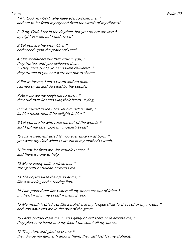1 My God, my God, why have you forsaken me? \* and are so far from my cry and from the words of my distress?

2 O my God, I cry in the daytime, but you do not answer; \* by night as well, but I find no rest.

3 Yet you are the Holy One, \* enthroned upon the praises of Israel.

4 Our forefathers put their trust in you; \* they trusted, and you delivered them. 5 They cried out to you and were delivered; \* they trusted in you and were not put to shame.

6 But as for me, I am a worm and no man, \* scorned by all and despised by the people.

7 All who see me laugh me to scorn; \* they curl their lips and wag their heads, saying,

8 "He trusted in the Lord; let him deliver him; \* let him rescue him, if he delights in him."

9 Yet you are he who took me out of the womb, \* and kept me safe upon my mother's breast.

10 I have been entrusted to you ever since I was born; \* you were my God when I was still in my mother's womb.

11 Be not far from me, for trouble is near, \* and there is none to help.

12 Many young bulls encircle me; \* strong bulls of Bashan surround me.

13 They open wide their jaws at me, \* like a ravening and a roaring lion.

14 I am poured out like water; all my bones are out of joint; \* my heart within my breast is melting wax.

15 My mouth is dried out like a pot-sherd; my tongue sticks to the roof of my mouth; \* and you have laid me in the dust of the grave.

16 Packs of dogs close me in, and gangs of evildoers circle around me; \* they pierce my hands and my feet; I can count all my bones.

17 They stare and gloat over me;  $*$ they divide my garments among them; they cast lots for my clothing.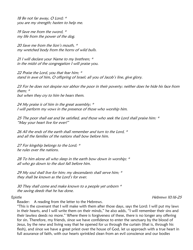18 Be not far away, O Lord; \* you are my strength; hasten to help me.

19 Save me from the sword,  $*$ my life from the power of the dog.

20 Save me from the lion's mouth, \* my wretched body from the horns of wild bulls.

21 I will declare your Name to my brethren; \* in the midst of the congregation I will praise you.

22 Praise the Lord, you that fear him; \* stand in awe of him, O offspring of Israel; all you of Jacob's line, give glory.

23 For he does not despise nor abhor the poor in their poverty; neither does he hide his face from them; \* but when they cry to him he hears them.

24 My praise is of him in the great assembly;  $*$ I will perform my vows in the presence of those who worship him.

25 The poor shall eat and be satisfied, and those who seek the Lord shall praise him: \* "May your heart live for ever!"

26 All the ends of the earth shall remember and turn to the Lord, \* and all the families of the nations shall bow before him.

27 For kingship belongs to the Lord; \* he rules over the nations.

28 To him alone all who sleep in the earth bow down in worship; \* all who go down to the dust fall before him.

29 My soul shall live for him; my descendants shall serve him; \* they shall be known as the Lord's for ever.

30 They shall come and make known to a people yet unborn \* the saving deeds that he has done.

Reader: A reading from the letter to the Hebrews.

"This is the covenant that I will make with them after those days, says the Lord: I will put my laws in their hearts, and I will write them on their minds," he also adds, "I will remember their sins and their lawless deeds no more." Where there is forgiveness of these, there is no longer any offering for sin. Therefore, my friends, since we have confidence to enter the sanctuary by the blood of Jesus, by the new and living way that he opened for us through the curtain (that is, through his flesh), and since we have a great priest over the house of God, let us approach with a true heart in full assurance of faith, with our hearts sprinkled clean from an evil conscience and our bodies

Epistle Hebrews 10:16-25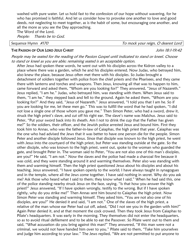washed with pure water. Let us hold fast to the confession of our hope without wavering, for he who has promised is faithful. And let us consider how to provoke one another to love and good deeds, not neglecting to meet together, as is the habit of some, but encouraging one another, and all the more as you see the Day approaching.

The Word of the Lord.

People: Thanks be to God.

Sequence Hymn #170 Sequence Hymn #170

#### THE PASSION OF OUR LORD JESUS CHRIST **SEEMS** AND THE SECOND 18:1-19:42

#### People may be seated for the reading of the Passion Gospel until indicated to stand or kneel. Choose to stand or kneel as you are able; remaining seated is an acceptable option.

After Jesus had spoken these words, he went out with his disciples across the Kidron valley to a place where there was a garden, which he and his disciples entered. Now Judas, who betrayed him, also knew the place, because Jesus often met there with his disciples. So Judas brought a detachment of soldiers together with police from the chief priests and the Pharisees, and they came there with lanterns and torches and weapons. Then Jesus, knowing all that was to happen to him, came forward and asked them, "Whom are you looking for?" They answered, "Jesus of Nazareth." Jesus replied, "I am he." Judas, who betrayed him, was standing with them. When Jesus said to them, "I am he," they stepped back and fell to the ground. Again he asked them, "Whom are you looking for?" And they said, "Jesus of Nazareth." Jesus answered, "I told you that I am he. So if you are looking for me, let these men go." This was to fulfill the word that he had spoken, "I did not lose a single one of those whom you gave me." Then Simon Peter, who had a sword, drew it, struck the high priest's slave, and cut off his right ear. The slave's name was Malchus. Jesus said to Peter, "Put your sword back into its sheath. Am I not to drink the cup that the Father has given me?" So the soldiers, their officer, and the Jewish police arrested Jesus and bound him. First they took him to Annas, who was the father-in-law of Caiaphas, the high priest that year. Caiaphas was the one who had advised the Jews that it was better to have one person die for the people. Simon Peter and another disciple followed Jesus. Since that disciple was known to the high priest, he went with Jesus into the courtyard of the high priest, but Peter was standing outside at the gate. So the other disciple, who was known to the high priest, went out, spoke to the woman who guarded the gate, and brought Peter in. The woman said to Peter, "You are not also one of this man's disciples, are you?" He said, "I am not." Now the slaves and the police had made a charcoal fire because it was cold, and they were standing around it and warming themselves. Peter also was standing with them and warming himself. Then the high priest questioned Jesus about his disciples and about his teaching. Jesus answered, "I have spoken openly to the world; I have always taught in synagogues and in the temple, where all the Jews come together. I have said nothing in secret. Why do you ask me? Ask those who heard what I said to them; they know what I said." When he had said this, one of the police standing nearby struck Jesus on the face, saying, "Is that how you answer the high priest?" Jesus answered, "If I have spoken wrongly, testify to the wrong. But if I have spoken rightly, why do you strike me?" Then Annas sent him bound to Caiaphas the high priest. Now Simon Peter was standing and warming himself. They asked him, "You are not also one of his disciples, are you?" He denied it and said, "I am not." One of the slaves of the high priest, a relative of the man whose ear Peter had cut off, asked, "Did I not see you in the garden with him?" Again Peter denied it, and at that moment the cock crowed. Then they took Jesus from Caiaphas to Pilate's headquarters. It was early in the morning. They themselves did not enter the headquarters, so as to avoid ritual defilement and to be able to eat the Passover. So Pilate went out to them and said, "What accusation do you bring against this man?" They answered, "If this man were not a criminal, we would not have handed him over to you." Pilate said to them, "Take him yourselves and judge him according to your law." The Jews replied, "We are not permitted to put anyone to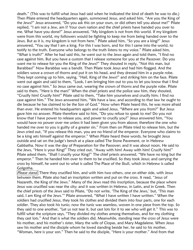death." (This was to fulfill what Jesus had said when he indicated the kind of death he was to die.) Then Pilate entered the headquarters again, summoned Jesus, and asked him, "Are you the King of the Jews?" Jesus answered, "Do you ask this on your own, or did others tell you about me?" Pilate replied, "I am not a Jew, am I? Your own nation and the chief priests have handed you over to me. What have you done?" Jesus answered, "My kingdom is not from this world. If my kingdom were from this world, my followers would be fighting to keep me from being handed over to the Jews. But as it is, my kingdom is not from here." Pilate asked him, "So you are a king?" Jesus answered, "You say that I am a king. For this I was born, and for this I came into the world, to testify to the truth. Everyone who belongs to the truth listens to my voice." Pilate asked him, "What is truth?" After he had said this, he went out to the Jews again and told them, "I find no case against him. But you have a custom that I release someone for you at the Passover. Do you want me to release for you the King of the Jews?" They shouted in reply, "Not this man, but Barabbas!" Now Barabbas was a bandit. Then Pilate took Jesus and had him flogged. And the soldiers wove a crown of thorns and put it on his head, and they dressed him in a purple robe. They kept coming up to him, saying, "Hail, King of the Jews!" and striking him on the face. Pilate went out again and said to them, "Look, I am bringing him out to you to let you know that I find no case against him." So Jesus came out, wearing the crown of thorns and the purple robe. Pilate said to them, "Here is the man!" When the chief priests and the police saw him, they shouted, "Crucify him! Crucify him!" Pilate said to them, "Take him yourselves and crucify him; I find no case against him." The Jews answered him, "We have a law, and according to that law he ought to die because he has claimed to be the Son of God." Now when Pilate heard this, he was more afraid than ever. He entered his headquarters again and asked Jesus, "Where are you from?" But Jesus gave him no answer. Pilate therefore said to him, "Do you refuse to speak to me? Do you not know that I have power to release you, and power to crucify you?" Jesus answered him, "You would have no power over me unless it had been given you from above; therefore the one who handed me over to you is guilty of a greater sin." From then on Pilate tried to release him, but the Jews cried out, "If you release this man, you are no friend of the emperor. Everyone who claims to be a king sets himself against the emperor." When Pilate heard these words, he brought Jesus outside and sat on the judge's bench at a place called The Stone Pavement, or in Hebrew Gabbatha. Now it was the day of Preparation for the Passover; and it was about noon. He said to the Jews, "Here is your King!" They cried out, "Away with him! Away with him! Crucify him!" Pilate asked them, "Shall I crucify your King?" The chief priests answered, "We have no king but the emperor." Then he handed him over to them to be crucified. So they took Jesus; and carrying the cross by himself, he went out to what is called The Place of the Skull, which in Hebrew is called Golgotha.

Please stand. There they crucified him, and with him two others, one on either side, with Jesus between them. Pilate also had an inscription written and put on the cross. It read, "Jesus of Nazareth, the King of the Jews." Many of the Jews read this inscription, because the place where Jesus was crucified was near the city; and it was written in Hebrew, in Latin, and in Greek. Then the chief priests of the Jews said to Pilate, "Do not write, 'The King of the Jews,' but, 'This man said, I am King of the Jews.'" Pilate answered, "What I have written I have written." When the soldiers had crucified Jesus, they took his clothes and divided them into four parts, one for each soldier. They also took his tunic; now the tunic was seamless, woven in one piece from the top. So they said to one another, "Let us not tear it, but cast lots for it to see who will get it." This was to fulfill what the scripture says, "They divided my clothes among themselves, and for my clothing they cast lots." And that is what the soldiers did. Meanwhile, standing near the cross of Jesus were his mother, and his mother's sister, Mary the wife of Clopas, and Mary Magdalene. When Jesus saw his mother and the disciple whom he loved standing beside her, he said to his mother, "Woman, here is your son." Then he said to the disciple, "Here is your mother." And from that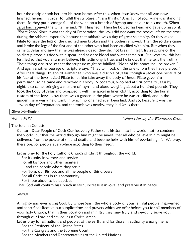hour the disciple took her into his own home. After this, when Jesus knew that all was now finished, he said (in order to fulfill the scripture), "I am thirsty." A jar full of sour wine was standing there. So they put a sponge full of the wine on a branch of hyssop and held it to his mouth. When Jesus had received the wine, he said, "It is finished." Then he bowed his head and gave up his spirit. Please kneel. Since it was the day of Preparation, the Jews did not want the bodies left on the cross during the sabbath, especially because that sabbath was a day of great solemnity. So they asked Pilate to have the legs of the crucified men broken and the bodies removed. Then the soldiers came and broke the legs of the first and of the other who had been crucified with him. But when they came to Jesus and saw that he was already dead, they did not break his legs. Instead, one of the soldiers pierced his side with a spear, and at once blood and water came out. (He who saw this has testified so that you also may believe. His testimony is true, and he knows that he tells the truth.) These things occurred so that the scripture might be fulfilled, "None of his bones shall be broken." And again another passage of scripture says, "They will look on the one whom they have pierced." After these things, Joseph of Arimathea, who was a disciple of Jesus, though a secret one because of his fear of the Jews, asked Pilate to let him take away the body of Jesus. Pilate gave him permission; so he came and removed his body. Nicodemus, who had at first come to Jesus by night, also came, bringing a mixture of myrrh and aloes, weighing about a hundred pounds. They took the body of Jesus and wrapped it with the spices in linen cloths, according to the burial custom of the Jews. Now there was a garden in the place where he was crucified, and in the garden there was a new tomb in which no one had ever been laid. And so, because it was the Jewish day of Preparation, and the tomb was nearby, they laid Jesus there.

#### Silent Meditation

Hymn #474 **Hymn** #474

#### The Solemn Collects

Cantor: Dear People of God: Our heavenly Father sent his Son into the world, not to condemn the world, but that the world through him might be saved; that all who believe in him might be delivered from the power of sin and death, and become heirs with him of everlasting life. We pray, therefore, for people everywhere according to their needs.

Let us pray for the holy Catholic Church of Christ throughout the world;

For its unity in witness and service

For all bishops and other ministers

and the people whom they serve

For Tom, our Bishop, and all the people of this diocese

For all Christians in this community

For those about to be baptized

That God will confirm his Church in faith, increase it in love, and preserve it in peace.

#### Silence

Almighty and everlasting God, by whose Spirit the whole body of your faithful people is governed and sanctified: Receive our supplications and prayers which we offer before you for all members of your holy Church, that in their vocation and ministry they may truly and devoutly serve you; through our Lord and Savior Jesus Christ. Amen.

Let us pray for all nations and peoples of the earth, and for those in authority among them;

For the President of the United States

For the Congress and the Supreme Court

For the Members and Representatives of the United Nations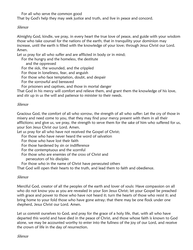For all who serve the common good

That by God's help they may seek justice and truth, and live in peace and concord.

#### Silence

Almighty God, kindle, we pray, in every heart the true love of peace, and guide with your wisdom those who take counsel for the nations of the earth; that in tranquility your dominion may increase, until the earth is filled with the knowledge of your love; through Jesus Christ our Lord. Amen.

Let us pray for all who suffer and are afflicted in body or in mind;

For the hungry and the homeless, the destitute

and the oppressed

For the sick, the wounded, and the crippled

For those in loneliness, fear, and anguish

For those who face temptation, doubt, and despair

For the sorrowful and bereaved

For prisoners and captives, and those in mortal danger

That God in his mercy will comfort and relieve them, and grant them the knowledge of his love, and stir up in us the will and patience to minister to their needs.

#### Silence

Gracious God, the comfort of all who sorrow, the strength of all who suffer: Let the cry of those in misery and need come to you, that they may find your mercy present with them in all their afflictions; and give us, we pray, the strength to serve them for the sake of him who suffered for us, your Son Jesus Christ our Lord. Amen.

Let us pray for all who have not received the Gospel of Christ;

For those who have never heard the word of salvation

For those who have lost their faith

For those hardened by sin or indifference

For the contemptuous and the scornful

For those who are enemies of the cross of Christ and

persecutors of his disciples

For those who in the name of Christ have persecuted others

That God will open their hearts to the truth, and lead them to faith and obedience.

#### Silence

Merciful God, creator of all the peoples of the earth and lover of souls: Have compassion on all who do not know you as you are revealed in your Son Jesus Christ; let your Gospel be preached with grace and power to those who have not heard it; turn the hearts of those who resist it; and bring home to your fold those who have gone astray; that there may be one flock under one shepherd, Jesus Christ our Lord. Amen.

Let us commit ourselves to God, and pray for the grace of a holy life, that, with all who have departed this world and have died in the peace of Christ, and those whose faith is known to God alone, we may be accounted worthy to enter into the fullness of the joy of our Lord, and receive the crown of life in the day of resurrection.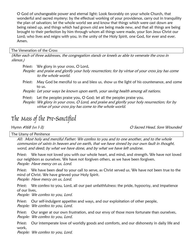O God of unchangeable power and eternal light: Look favorably on your whole Church, that wonderful and sacred mystery; by the effectual working of your providence, carry out in tranquility the plan of salvation; let the whole world see and know that things which were cast down are being raised up, and things which had grown old are being made new, and that all things are being brought to their perfection by him through whom all things were made, your Son Jesus Christ our Lord; who lives and reigns with you, in the unity of the Holy Spirit, one God, for ever and ever. Amen.

The Veneration of the Cross

(After each of three addresses, the congregation stands or kneels as able to venerate the cross in silence.)

Priest: We glory in your cross, O Lord,

People: and praise and glorify your holy resurrection; for by virtue of your cross joy has come to the whole world.

Priest: May God be merciful to us and bless us, show us the light of his countenance, and come to us.

People: Let your ways be known upon earth, your saving health among all nations.

Priest: Let the peoples praise you, O God; let all the peoples praise you.

People: We glory in your cross, O Lord, and praise and glorify your holy resurrection; for by virtue of your cross joy has come to the whole world.

### The Mass of the Pre-Sanctified

Hymn #168 (vs 1-3) O Sacred Head, Sore Wounded

The Litany of Penitence

All: Most holy and merciful Father: We confess to you and to one another, and to the whole communion of saints in heaven and on earth, that we have sinned by our own fault in thought, word, and deed; by what we have done, and by what we have left undone.

Priest: We have not loved you with our whole heart, and mind, and strength. We have not loved our neighbors as ourselves. We have not forgiven others, as we have been forgiven. People: Have mercy on us, Lord.

Priest: We have been deaf to your call to serve, as Christ served us. We have not been true to the mind of Christ. We have grieved your Holy Spirit.

People: Have mercy on us, Lord.

Priest: We confess to you, Lord, all our past unfaithfulness: the pride, hypocrisy, and impatience of our lives,

People: We confess to you, Lord.

Priest: Our self-indulgent appetites and ways, and our exploitation of other people,

People: We confess to you, Lord.

Priest: Our anger at our own frustration, and our envy of those more fortunate than ourselves, People: We confess to you, Lord.

Priest: Our intemperate love of worldly goods and comforts, and our dishonesty in daily life and work,

People: We confess to you, Lord.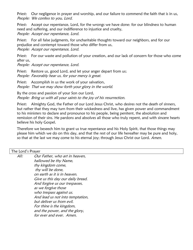Priest: Our negligence in prayer and worship, and our failure to commend the faith that is in us, People: We confess to you, Lord.

Priest: Accept our repentance, Lord, for the wrongs we have done: for our blindness to human need and suffering, and our indifference to injustice and cruelty, People: Accept our repentance, Lord.

Priest: For all false judgments, for uncharitable thoughts toward our neighbors, and for our prejudice and contempt toward those who differ from us,

People: Accept our repentance, Lord.

Priest: For our waste and pollution of your creation, and our lack of concern for those who come after us,

People: Accept our repentance, Lord.

Priest: Restore us, good Lord, and let your anger depart from us; People: Favorably hear us, for your mercy is great.

Priest: Accomplish in us the work of your salvation, People: That we may show forth your glory in the world.

By the cross and passion of your Son our Lord, People: Bring us with all your saints to the joy of his resurrection.

Priest: Almighty God, the Father of our Lord Jesus Christ, who desires not the death of sinners, but rather that they may turn from their wickedness and live, has given power and commandment to his ministers to declare and pronounce to his people, being penitent, the absolution and remission of their sins. He pardons and absolves all those who truly repent, and with sincere hearts believe his holy Gospel.

Therefore we beseech him to grant us true repentance and his Holy Spirit, that those things may please him which we do on this day, and that the rest of our life hereafter may be pure and holy, so that at the last we may come to his eternal joy; through Jesus Christ our Lord. Amen.

| The Lord's Prayer |                                   |
|-------------------|-----------------------------------|
| All:              | Our Father, who art in heaven,    |
|                   | hallowed be thy Name,             |
|                   | thy kingdom come,                 |
|                   | thy will be done,                 |
|                   | on earth as it is in heaven.      |
|                   | Give us this day our daily bread. |
|                   | And forgive us our trespasses,    |
|                   | as we forgive those               |
|                   | who trespass against us.          |
|                   | And lead us not into temptation,  |
|                   | but deliver us from evil.         |
|                   | For thine is the kingdom,         |
|                   | and the power, and the glory,     |
|                   | for ever and ever. Amen.          |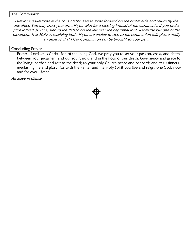#### The Communion

Everyone is welcome at the Lord's table. Please come forward on the center aisle and return by the side aisles. You may cross your arms if you wish for a blessing instead of the sacraments. If you prefer juice instead of wine, step to the station on the left near the baptismal font. Receiving just one of the sacraments is as Holy as receiving both. If you are unable to step to the communion rail, please notify an usher so that Holy Communion can be brought to your pew.

#### Concluding Prayer

Priest: Lord Jesus Christ, Son of the living God, we pray you to set your passion, cross, and death between your judgment and our souls, now and in the hour of our death. Give mercy and grace to the living; pardon and rest to the dead; to your holy Church peace and concord; and to us sinners everlasting life and glory; for with the Father and the Holy Spirit you live and reign, one God, now and for ever. Amen.

All leave in silence.